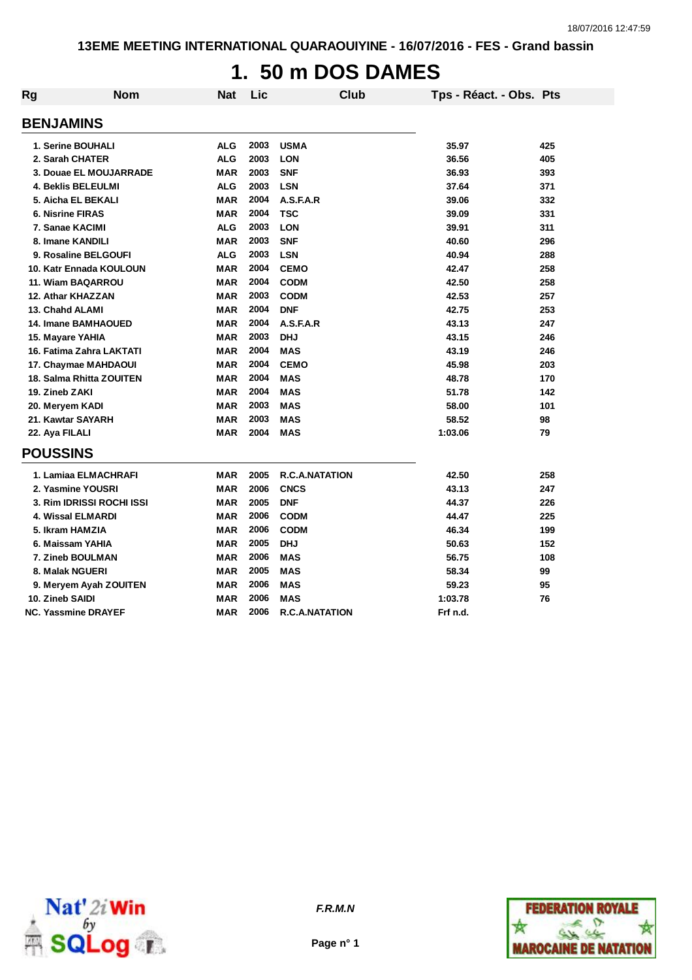# **1. 50 m DOS DAMES**

| Rg | <b>Nom</b>                 | Nat        | Lic  | <b>Club</b>           | Tps - Réact. - Obs. Pts |     |
|----|----------------------------|------------|------|-----------------------|-------------------------|-----|
|    | <b>BENJAMINS</b>           |            |      |                       |                         |     |
|    | 1. Serine BOUHALI          | <b>ALG</b> | 2003 | <b>USMA</b>           | 35.97                   | 425 |
|    | 2. Sarah CHATER            | <b>ALG</b> | 2003 | <b>LON</b>            | 36.56                   | 405 |
|    | 3. Douae EL MOUJARRADE     | <b>MAR</b> | 2003 | <b>SNF</b>            | 36.93                   | 393 |
|    | <b>4. Beklis BELEULMI</b>  | <b>ALG</b> | 2003 | <b>LSN</b>            | 37.64                   | 371 |
|    | 5. Aicha EL BEKALI         | <b>MAR</b> | 2004 | A.S.F.A.R             | 39.06                   | 332 |
|    | <b>6. Nisrine FIRAS</b>    | <b>MAR</b> | 2004 | <b>TSC</b>            | 39.09                   | 331 |
|    | 7. Sanae KACIMI            | <b>ALG</b> | 2003 | <b>LON</b>            | 39.91                   | 311 |
|    | 8. Imane KANDILI           | <b>MAR</b> | 2003 | <b>SNF</b>            | 40.60                   | 296 |
|    | 9. Rosaline BELGOUFI       | <b>ALG</b> | 2003 | <b>LSN</b>            | 40.94                   | 288 |
|    | 10. Katr Ennada KOULOUN    | <b>MAR</b> | 2004 | <b>CEMO</b>           | 42.47                   | 258 |
|    | 11. Wiam BAQARROU          | <b>MAR</b> | 2004 | <b>CODM</b>           | 42.50                   | 258 |
|    | 12. Athar KHAZZAN          | <b>MAR</b> | 2003 | <b>CODM</b>           | 42.53                   | 257 |
|    | 13. Chahd ALAMI            | <b>MAR</b> | 2004 | <b>DNF</b>            | 42.75                   | 253 |
|    | <b>14. Imane BAMHAOUED</b> | <b>MAR</b> | 2004 | A.S.F.A.R             | 43.13                   | 247 |
|    | 15. Mayare YAHIA           | <b>MAR</b> | 2003 | <b>DHJ</b>            | 43.15                   | 246 |
|    | 16. Fatima Zahra LAKTATI   | <b>MAR</b> | 2004 | <b>MAS</b>            | 43.19                   | 246 |
|    | 17. Chaymae MAHDAOUI       | <b>MAR</b> | 2004 | <b>CEMO</b>           | 45.98                   | 203 |
|    | 18. Salma Rhitta ZOUITEN   | <b>MAR</b> | 2004 | <b>MAS</b>            | 48.78                   | 170 |
|    | 19. Zineb ZAKI             | <b>MAR</b> | 2004 | <b>MAS</b>            | 51.78                   | 142 |
|    | 20. Meryem KADI            | <b>MAR</b> | 2003 | <b>MAS</b>            | 58.00                   | 101 |
|    | 21. Kawtar SAYARH          | <b>MAR</b> | 2003 | <b>MAS</b>            | 58.52                   | 98  |
|    | 22. Aya FILALI             | <b>MAR</b> | 2004 | <b>MAS</b>            | 1:03.06                 | 79  |
|    | <b>POUSSINS</b>            |            |      |                       |                         |     |
|    | 1. Lamiaa ELMACHRAFI       | <b>MAR</b> | 2005 | <b>R.C.A.NATATION</b> | 42.50                   | 258 |
|    | 2. Yasmine YOUSRI          | <b>MAR</b> | 2006 | <b>CNCS</b>           | 43.13                   | 247 |
|    | 3. Rim IDRISSI ROCHI ISSI  | <b>MAR</b> | 2005 | <b>DNF</b>            | 44.37                   | 226 |
|    | <b>4. Wissal ELMARDI</b>   | <b>MAR</b> | 2006 | <b>CODM</b>           | 44.47                   | 225 |
|    | 5. Ikram HAMZIA            | <b>MAR</b> | 2006 | <b>CODM</b>           | 46.34                   | 199 |
|    | 6. Maissam YAHIA           | <b>MAR</b> | 2005 | <b>DHJ</b>            | 50.63                   | 152 |
|    | 7. Zineb BOULMAN           | <b>MAR</b> | 2006 | <b>MAS</b>            | 56.75                   | 108 |
|    | 8. Malak NGUERI            | <b>MAR</b> | 2005 | <b>MAS</b>            | 58.34                   | 99  |
|    | 9. Meryem Ayah ZOUITEN     | <b>MAR</b> | 2006 | <b>MAS</b>            | 59.23                   | 95  |
|    | 10. Zineb SAIDI            | <b>MAR</b> | 2006 | <b>MAS</b>            | 1:03.78                 | 76  |
|    | <b>NC. Yassmine DRAYEF</b> | <b>MAR</b> | 2006 | <b>R.C.A.NATATION</b> | Frf n.d.                |     |



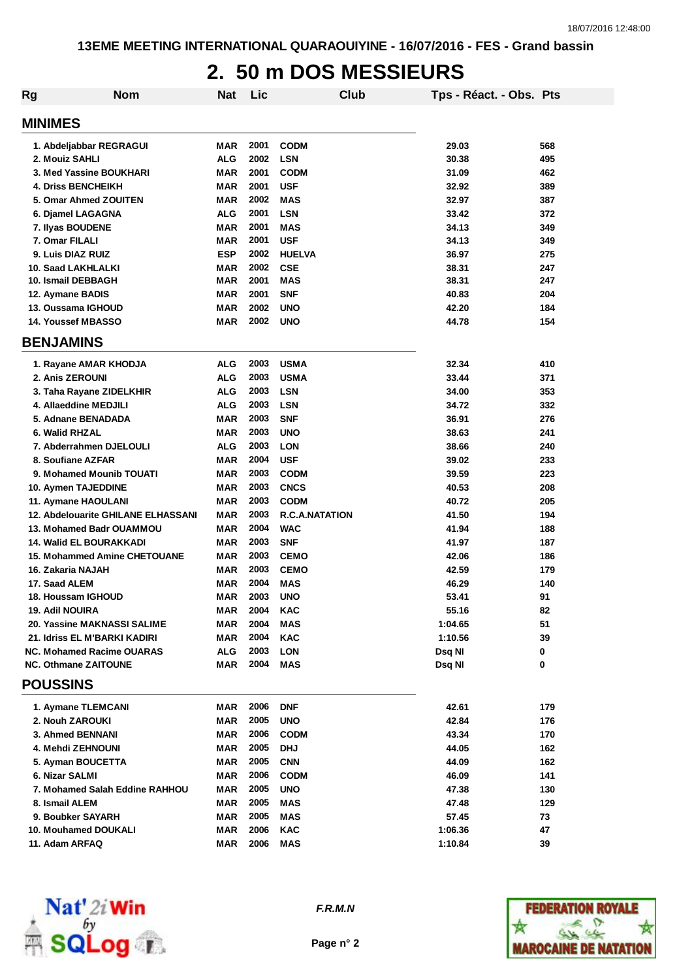#### **2. 50 m DOS MESSIEURS**

| <b>Rg</b> | <b>Nom</b>                                | <b>Nat</b> | Lic  | <b>Club</b>           | Tps - Réact. - Obs. Pts |     |
|-----------|-------------------------------------------|------------|------|-----------------------|-------------------------|-----|
|           | <b>MINIMES</b>                            |            |      |                       |                         |     |
|           | 1. Abdeljabbar REGRAGUI                   | MAR        | 2001 | <b>CODM</b>           | 29.03                   | 568 |
|           | 2. Mouiz SAHLI                            | <b>ALG</b> | 2002 | <b>LSN</b>            | 30.38                   | 495 |
|           | 3. Med Yassine BOUKHARI                   | <b>MAR</b> | 2001 | <b>CODM</b>           | 31.09                   | 462 |
|           | <b>4. Driss BENCHEIKH</b>                 | <b>MAR</b> | 2001 | <b>USF</b>            | 32.92                   | 389 |
|           | 5. Omar Ahmed ZOUITEN                     | <b>MAR</b> | 2002 | <b>MAS</b>            | 32.97                   | 387 |
|           | 6. Djamel LAGAGNA                         | ALG        | 2001 | <b>LSN</b>            | 33.42                   | 372 |
|           | 7. Ilyas BOUDENE                          | <b>MAR</b> | 2001 | <b>MAS</b>            | 34.13                   | 349 |
|           | 7. Omar FILALI                            | <b>MAR</b> | 2001 | <b>USF</b>            | 34.13                   | 349 |
|           | 9. Luis DIAZ RUIZ                         | <b>ESP</b> | 2002 | <b>HUELVA</b>         | 36.97                   | 275 |
|           | 10. Saad LAKHLALKI                        | <b>MAR</b> | 2002 | <b>CSE</b>            | 38.31                   | 247 |
|           | 10. Ismail DEBBAGH                        | <b>MAR</b> | 2001 | <b>MAS</b>            | 38.31                   | 247 |
|           | 12. Aymane BADIS                          | <b>MAR</b> | 2001 | <b>SNF</b>            | 40.83                   | 204 |
|           | 13. Oussama IGHOUD                        | <b>MAR</b> | 2002 | <b>UNO</b>            | 42.20                   | 184 |
|           | 14. Youssef MBASSO                        | <b>MAR</b> | 2002 | <b>UNO</b>            | 44.78                   | 154 |
|           | <b>BENJAMINS</b>                          |            |      |                       |                         |     |
|           |                                           |            |      |                       |                         |     |
|           | 1. Rayane AMAR KHODJA                     | ALG        | 2003 | <b>USMA</b>           | 32.34                   | 410 |
|           | <b>2. Anis ZEROUNI</b>                    | ALG        | 2003 | <b>USMA</b>           | 33.44                   | 371 |
|           | 3. Taha Rayane ZIDELKHIR                  | ALG        | 2003 | <b>LSN</b>            | 34.00                   | 353 |
|           | 4. Allaeddine MEDJILI                     | ALG        | 2003 | <b>LSN</b>            | 34.72                   | 332 |
|           | 5. Adnane BENADADA                        | <b>MAR</b> | 2003 | <b>SNF</b>            | 36.91                   | 276 |
|           | 6. Walid RHZAL                            | <b>MAR</b> | 2003 | <b>UNO</b>            | 38.63                   | 241 |
|           | 7. Abderrahmen DJELOULI                   | <b>ALG</b> | 2003 | <b>LON</b>            | 38.66                   | 240 |
|           | 8. Soufiane AZFAR                         | <b>MAR</b> | 2004 | <b>USF</b>            | 39.02                   | 233 |
|           | 9. Mohamed Mounib TOUATI                  | <b>MAR</b> | 2003 | <b>CODM</b>           | 39.59                   | 223 |
|           | 10. Aymen TAJEDDINE                       | <b>MAR</b> | 2003 | <b>CNCS</b>           | 40.53                   | 208 |
|           | 11. Aymane HAOULANI                       | MAR        | 2003 | <b>CODM</b>           | 40.72                   | 205 |
|           | <b>12. Abdelouarite GHILANE ELHASSANI</b> | <b>MAR</b> | 2003 | <b>R.C.A.NATATION</b> | 41.50                   | 194 |
|           | 13. Mohamed Badr OUAMMOU                  | MAR        | 2004 | <b>WAC</b>            | 41.94                   | 188 |
|           | <b>14. Walid EL BOURAKKADI</b>            | MAR        | 2003 | <b>SNF</b>            | 41.97                   | 187 |
|           | <b>15. Mohammed Amine CHETOUANE</b>       | MAR        | 2003 | <b>CEMO</b>           | 42.06                   | 186 |
|           | 16. Zakaria NAJAH                         | <b>MAR</b> | 2003 | <b>CEMO</b>           | 42.59                   | 179 |
|           | 17. Saad ALEM                             | <b>MAR</b> | 2004 | <b>MAS</b>            | 46.29                   | 140 |
|           | 18. Houssam IGHOUD                        | MAR        | 2003 | <b>UNO</b>            | 53.41                   | 91  |
|           | <b>19. Adil NOUIRA</b>                    | MAR        | 2004 | KAC                   | 55.16                   | 82  |
|           | <b>20. Yassine MAKNASSI SALIME</b>        | MAR        | 2004 | <b>MAS</b>            | 1:04.65                 | 51  |
|           | 21. Idriss EL M'BARKI KADIRI              | <b>MAR</b> | 2004 | <b>KAC</b>            | 1:10.56                 | 39  |
|           | <b>NC. Mohamed Racime OUARAS</b>          | ALG        | 2003 | <b>LON</b>            | Dsq NI                  | 0   |
|           | <b>NC. Othmane ZAITOUNE</b>               | MAR        | 2004 | <b>MAS</b>            | Dsq NI                  | 0   |
|           | <b>POUSSINS</b>                           |            |      |                       |                         |     |
|           | 1. Aymane TLEMCANI                        | MAR        | 2006 | <b>DNF</b>            | 42.61                   | 179 |
|           | 2. Nouh ZAROUKI                           | <b>MAR</b> | 2005 | <b>UNO</b>            | 42.84                   | 176 |
|           | 3. Ahmed BENNANI                          | MAR        | 2006 | <b>CODM</b>           | 43.34                   | 170 |
|           | 4. Mehdi ZEHNOUNI                         | <b>MAR</b> | 2005 | <b>DHJ</b>            | 44.05                   | 162 |
|           | 5. Ayman BOUCETTA                         | <b>MAR</b> | 2005 | <b>CNN</b>            | 44.09                   | 162 |
|           | 6. Nizar SALMI                            | <b>MAR</b> | 2006 | <b>CODM</b>           | 46.09                   | 141 |
|           | 7. Mohamed Salah Eddine RAHHOU            | MAR        | 2005 | <b>UNO</b>            | 47.38                   | 130 |
|           | 8. Ismail ALEM                            | MAR        | 2005 | MAS                   | 47.48                   | 129 |
|           | 9. Boubker SAYARH                         | MAR        | 2005 | MAS                   | 57.45                   | 73  |
|           | 10. Mouhamed DOUKALI                      | MAR        | 2006 | <b>KAC</b>            | 1:06.36                 | 47  |
|           | 11. Adam ARFAQ                            | MAR        | 2006 | MAS                   | 1:10.84                 | 39  |



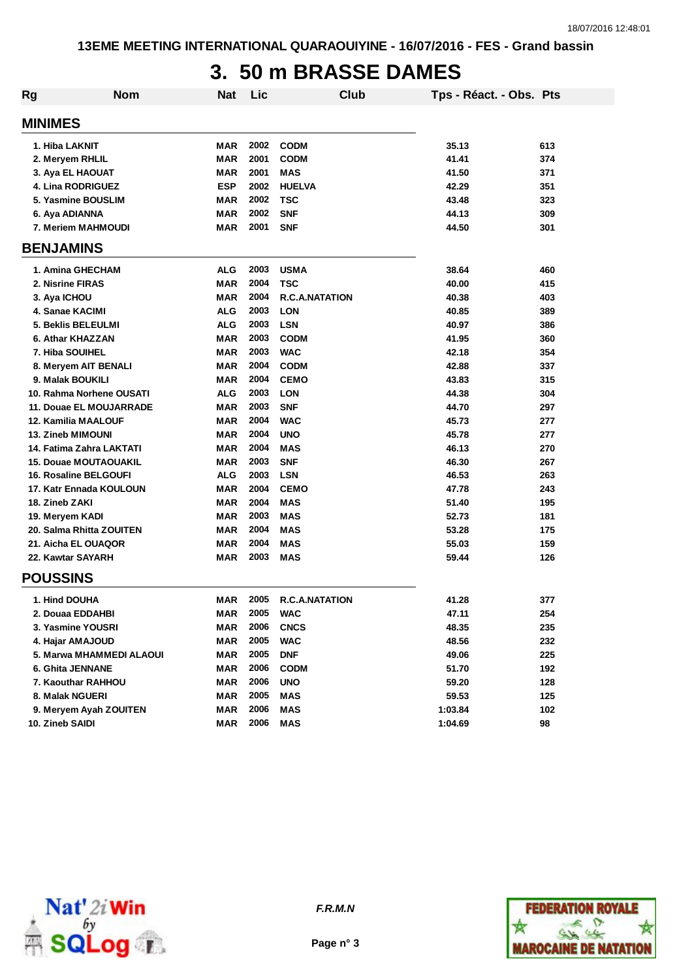### **3. 50 m BRASSE DAMES**

| Rg | <b>Nom</b>                   | <b>Nat</b> | Lic  | Club                  | Tps - Réact. - Obs. Pts |     |
|----|------------------------------|------------|------|-----------------------|-------------------------|-----|
|    | <b>MINIMES</b>               |            |      |                       |                         |     |
|    | 1. Hiba LAKNIT               | MAR        | 2002 | <b>CODM</b>           | 35.13                   | 613 |
|    | 2. Meryem RHLIL              | <b>MAR</b> | 2001 | <b>CODM</b>           | 41.41                   | 374 |
|    | 3. Aya EL HAOUAT             | <b>MAR</b> | 2001 | <b>MAS</b>            | 41.50                   | 371 |
|    | 4. Lina RODRIGUEZ            | <b>ESP</b> | 2002 | <b>HUELVA</b>         | 42.29                   | 351 |
|    | 5. Yasmine BOUSLIM           | <b>MAR</b> | 2002 | <b>TSC</b>            | 43.48                   | 323 |
|    | 6. Aya ADIANNA               | <b>MAR</b> | 2002 | <b>SNF</b>            | 44.13                   | 309 |
|    | 7. Meriem MAHMOUDI           | <b>MAR</b> | 2001 | <b>SNF</b>            | 44.50                   | 301 |
|    | <b>BENJAMINS</b>             |            |      |                       |                         |     |
|    | 1. Amina GHECHAM             | ALG        | 2003 | <b>USMA</b>           | 38.64                   | 460 |
|    | 2. Nisrine FIRAS             | <b>MAR</b> | 2004 | <b>TSC</b>            | 40.00                   | 415 |
|    | 3. Aya ICHOU                 | <b>MAR</b> | 2004 | <b>R.C.A.NATATION</b> | 40.38                   | 403 |
|    | 4. Sanae KACIMI              | ALG        | 2003 | <b>LON</b>            | 40.85                   | 389 |
|    | 5. Beklis BELEULMI           | <b>ALG</b> | 2003 | <b>LSN</b>            | 40.97                   | 386 |
|    | 6. Athar KHAZZAN             | <b>MAR</b> | 2003 | <b>CODM</b>           | 41.95                   | 360 |
|    | 7. Hiba SOUIHEL              | <b>MAR</b> | 2003 | <b>WAC</b>            | 42.18                   | 354 |
|    | 8. Meryem AIT BENALI         | <b>MAR</b> | 2004 | <b>CODM</b>           | 42.88                   | 337 |
|    | 9. Malak BOUKILI             | <b>MAR</b> | 2004 | <b>CEMO</b>           | 43.83                   | 315 |
|    | 10. Rahma Norhene OUSATI     | <b>ALG</b> | 2003 | <b>LON</b>            | 44.38                   | 304 |
|    | 11. Douae EL MOUJARRADE      | MAR        | 2003 | <b>SNF</b>            | 44.70                   | 297 |
|    | <b>12. Kamilia MAALOUF</b>   | MAR        | 2004 | <b>WAC</b>            | 45.73                   | 277 |
|    | <b>13. Zineb MIMOUNI</b>     | <b>MAR</b> | 2004 | <b>UNO</b>            | 45.78                   | 277 |
|    | 14. Fatima Zahra LAKTATI     | <b>MAR</b> | 2004 | <b>MAS</b>            | 46.13                   | 270 |
|    | <b>15. Douae MOUTAOUAKIL</b> | <b>MAR</b> | 2003 | <b>SNF</b>            | 46.30                   | 267 |
|    | <b>16. Rosaline BELGOUFI</b> | ALG        | 2003 | <b>LSN</b>            | 46.53                   | 263 |
|    | 17. Katr Ennada KOULOUN      | MAR        | 2004 | <b>CEMO</b>           | 47.78                   | 243 |
|    | 18. Zineb ZAKI               | <b>MAR</b> | 2004 | <b>MAS</b>            | 51.40                   | 195 |
|    | 19. Meryem KADI              | <b>MAR</b> | 2003 | <b>MAS</b>            | 52.73                   | 181 |
|    | 20. Salma Rhitta ZOUITEN     | <b>MAR</b> | 2004 | <b>MAS</b>            | 53.28                   | 175 |
|    | 21. Aicha EL OUAQOR          | <b>MAR</b> | 2004 | <b>MAS</b>            | 55.03                   | 159 |
|    | 22. Kawtar SAYARH            | <b>MAR</b> | 2003 | <b>MAS</b>            | 59.44                   | 126 |
|    | <b>POUSSINS</b>              |            |      |                       |                         |     |
|    | 1. Hind DOUHA                | <b>MAR</b> | 2005 | <b>R.C.A.NATATION</b> | 41.28                   | 377 |
|    | 2. Douaa EDDAHBI             | MAR        | 2005 | <b>WAC</b>            | 47.11                   | 254 |
|    | 3. Yasmine YOUSRI            | <b>MAR</b> | 2006 | <b>CNCS</b>           | 48.35                   | 235 |
|    | 4. Hajar AMAJOUD             | <b>MAR</b> | 2005 | <b>WAC</b>            | 48.56                   | 232 |
|    | 5. Marwa MHAMMEDI ALAOUI     | <b>MAR</b> | 2005 | <b>DNF</b>            | 49.06                   | 225 |
|    | 6. Ghita JENNANE             | <b>MAR</b> | 2006 | <b>CODM</b>           | 51.70                   | 192 |
|    | 7. Kaouthar RAHHOU           | <b>MAR</b> | 2006 | <b>UNO</b>            | 59.20                   | 128 |
|    | 8. Malak NGUERI              | <b>MAR</b> | 2005 | <b>MAS</b>            | 59.53                   | 125 |
|    | 9. Meryem Ayah ZOUITEN       | <b>MAR</b> | 2006 | <b>MAS</b>            | 1:03.84                 | 102 |
|    | 10. Zineb SAIDI              | <b>MAR</b> | 2006 | <b>MAS</b>            | 1:04.69                 | 98  |



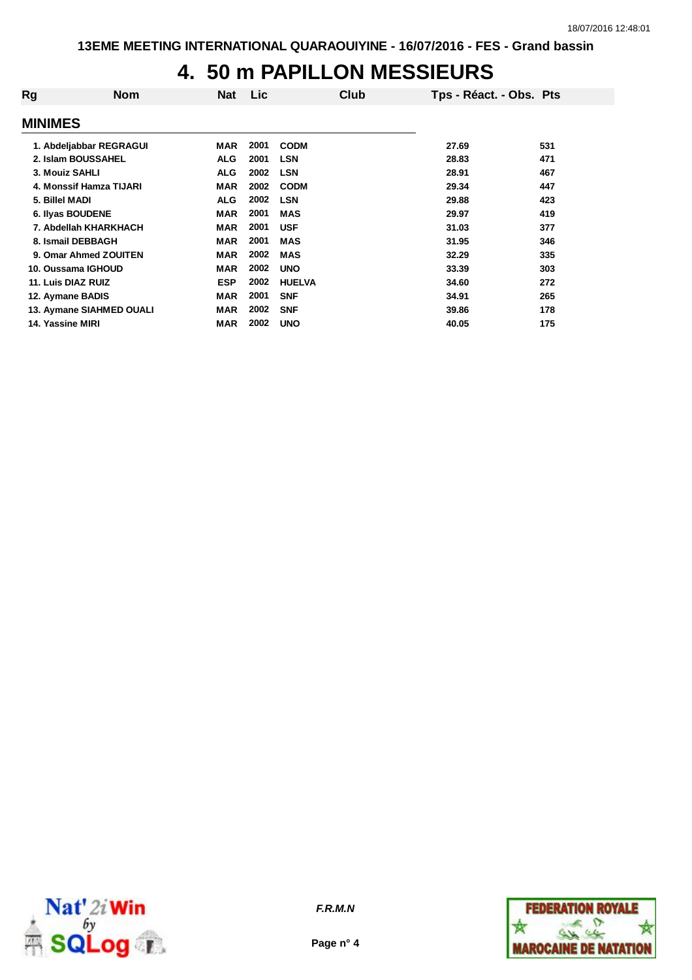## **4. 50 m PAPILLON MESSIEURS**

| Rg               | <b>Nom</b>               | <b>Nat</b> | Lic. | Club          | Tps - Réact. - Obs. Pts |     |
|------------------|--------------------------|------------|------|---------------|-------------------------|-----|
| <b>MINIMES</b>   |                          |            |      |               |                         |     |
|                  | 1. Abdeljabbar REGRAGUI  | <b>MAR</b> | 2001 | <b>CODM</b>   | 27.69                   | 531 |
|                  | 2. Islam BOUSSAHEL       | <b>ALG</b> | 2001 | <b>LSN</b>    | 28.83                   | 471 |
| 3. Mouiz SAHLI   |                          | <b>ALG</b> | 2002 | <b>LSN</b>    | 28.91                   | 467 |
|                  | 4. Monssif Hamza TIJARI  | <b>MAR</b> | 2002 | <b>CODM</b>   | 29.34                   | 447 |
| 5. Billel MADI   |                          | <b>ALG</b> | 2002 | <b>LSN</b>    | 29.88                   | 423 |
|                  | 6. Ilyas BOUDENE         | <b>MAR</b> | 2001 | <b>MAS</b>    | 29.97                   | 419 |
|                  | 7. Abdellah KHARKHACH    | <b>MAR</b> | 2001 | <b>USF</b>    | 31.03                   | 377 |
|                  | 8. Ismail DEBBAGH        | <b>MAR</b> | 2001 | <b>MAS</b>    | 31.95                   | 346 |
|                  | 9. Omar Ahmed ZOUITEN    | <b>MAR</b> | 2002 | <b>MAS</b>    | 32.29                   | 335 |
|                  | 10. Oussama IGHOUD       | <b>MAR</b> | 2002 | <b>UNO</b>    | 33.39                   | 303 |
|                  | 11. Luis DIAZ RUIZ       | <b>ESP</b> | 2002 | <b>HUELVA</b> | 34.60                   | 272 |
|                  | 12. Aymane BADIS         | <b>MAR</b> | 2001 | <b>SNF</b>    | 34.91                   | 265 |
|                  | 13. Aymane SIAHMED OUALI | <b>MAR</b> | 2002 | <b>SNF</b>    | 39.86                   | 178 |
| 14. Yassine MIRI |                          | <b>MAR</b> | 2002 | <b>UNO</b>    | 40.05                   | 175 |
|                  |                          |            |      |               |                         |     |



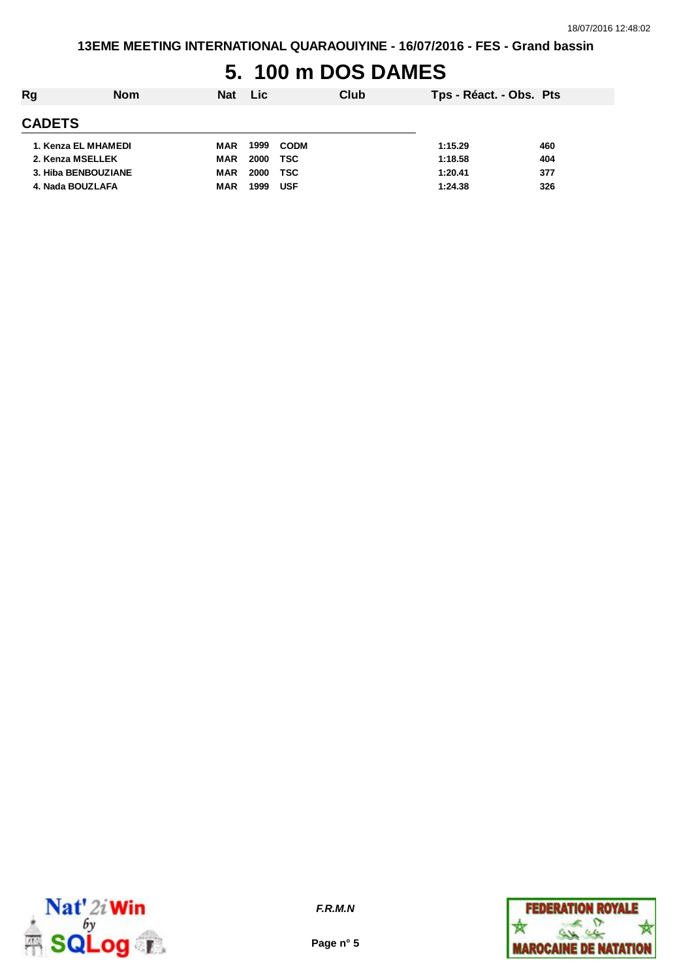# **5. 100 m DOS DAMES**

| Rg<br><b>Nom</b>    |            | Nat Lic |             | Club | Tps - Réact. - Obs. Pts |     |
|---------------------|------------|---------|-------------|------|-------------------------|-----|
| <b>CADETS</b>       |            |         |             |      |                         |     |
| 1. Kenza EL MHAMEDI | MAR        | 1999    | <b>CODM</b> |      | 1:15.29                 | 460 |
| 2. Kenza MSELLEK    | MAR        | 2000    | TSC         |      | 1:18.58                 | 404 |
| 3. Hiba BENBOUZIANE | MAR        | 2000    | <b>TSC</b>  |      | 1:20.41                 | 377 |
| 4. Nada BOUZLAFA    | <b>MAR</b> | 1999    | <b>USF</b>  |      | 1:24.38                 | 326 |



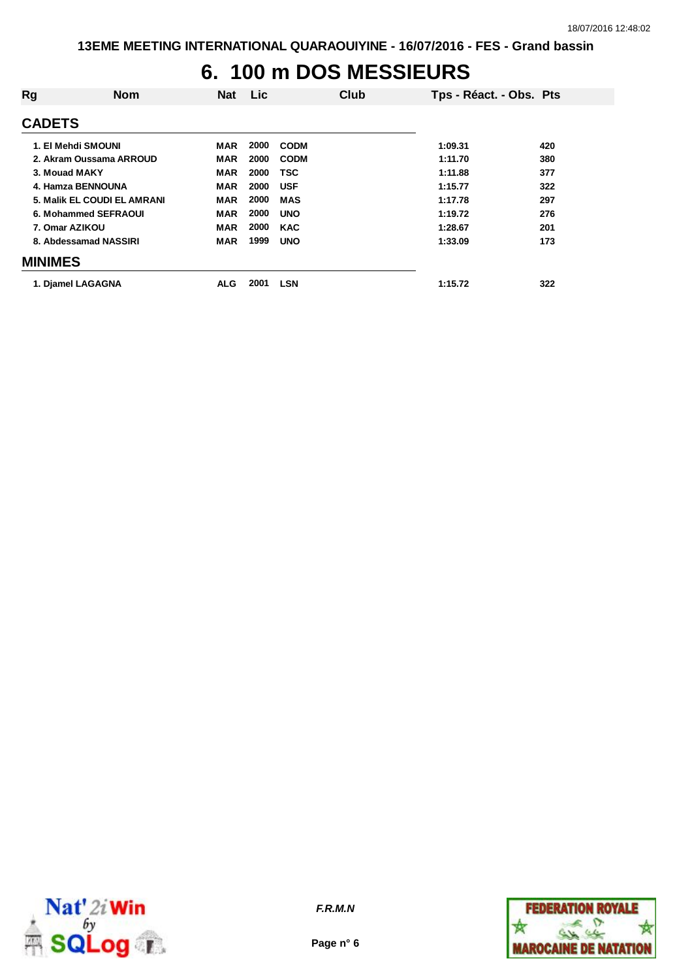## **6. 100 m DOS MESSIEURS**

| Rg             | <b>Nom</b>                  | <b>Nat</b> | <b>Lic</b> | Club        | Tps - Réact. - Obs. Pts |     |
|----------------|-----------------------------|------------|------------|-------------|-------------------------|-----|
| <b>CADETS</b>  |                             |            |            |             |                         |     |
|                | 1. El Mehdi SMOUNI          | <b>MAR</b> | 2000       | <b>CODM</b> | 1:09.31                 | 420 |
|                | 2. Akram Oussama ARROUD     | <b>MAR</b> | 2000       | <b>CODM</b> | 1:11.70                 | 380 |
| 3. Mouad MAKY  |                             | <b>MAR</b> | 2000       | TSC         | 1:11.88                 | 377 |
|                | 4. Hamza BENNOUNA           | <b>MAR</b> | 2000       | <b>USF</b>  | 1:15.77                 | 322 |
|                | 5. Malik EL COUDI EL AMRANI | <b>MAR</b> | 2000       | <b>MAS</b>  | 1:17.78                 | 297 |
|                | 6. Mohammed SEFRAOUI        | <b>MAR</b> | 2000       | <b>UNO</b>  | 1:19.72                 | 276 |
| 7. Omar AZIKOU |                             | <b>MAR</b> | 2000       | <b>KAC</b>  | 1:28.67                 | 201 |
|                | 8. Abdessamad NASSIRI       | <b>MAR</b> | 1999       | <b>UNO</b>  | 1:33.09                 | 173 |
| <b>MINIMES</b> |                             |            |            |             |                         |     |
|                | 1. Djamel LAGAGNA           | <b>ALG</b> | 2001       | <b>LSN</b>  | 1:15.72                 | 322 |



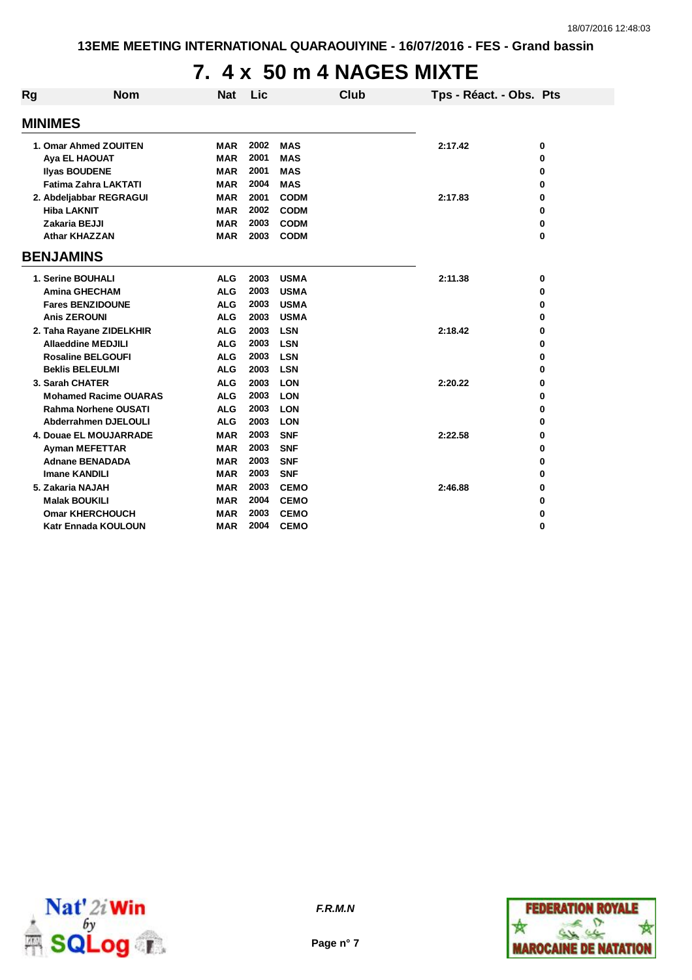# **7. 4 x 50 m 4 NAGES MIXTE**

| Rg | <b>Nom</b>                                          | <b>Nat</b>               | Lic          |                            | <b>Club</b> | Tps - Réact. - Obs. Pts |        |
|----|-----------------------------------------------------|--------------------------|--------------|----------------------------|-------------|-------------------------|--------|
|    | <b>MINIMES</b>                                      |                          |              |                            |             |                         |        |
|    |                                                     |                          |              |                            |             |                         |        |
|    | 1. Omar Ahmed ZOUITEN                               | <b>MAR</b>               | 2002         | <b>MAS</b>                 |             | 2:17.42                 | 0      |
|    | Aya EL HAOUAT                                       | <b>MAR</b><br><b>MAR</b> | 2001<br>2001 | <b>MAS</b><br><b>MAS</b>   |             |                         | 0      |
|    | <b>Ilyas BOUDENE</b><br><b>Fatima Zahra LAKTATI</b> | <b>MAR</b>               | 2004         | <b>MAS</b>                 |             |                         | 0      |
|    |                                                     |                          | 2001         | <b>CODM</b>                |             |                         | 0      |
|    | 2. Abdeljabbar REGRAGUI                             | <b>MAR</b><br><b>MAR</b> | 2002         |                            |             | 2:17.83                 | 0      |
|    | <b>Hiba LAKNIT</b><br>Zakaria BEJJI                 | <b>MAR</b>               | 2003         | <b>CODM</b><br><b>CODM</b> |             |                         | 0<br>0 |
|    | <b>Athar KHAZZAN</b>                                | <b>MAR</b>               | 2003         | <b>CODM</b>                |             |                         | 0      |
|    |                                                     |                          |              |                            |             |                         |        |
|    | <b>BENJAMINS</b>                                    |                          |              |                            |             |                         |        |
|    | 1. Serine BOUHALI                                   | <b>ALG</b>               | 2003         | <b>USMA</b>                |             | 2:11.38                 | 0      |
|    | <b>Amina GHECHAM</b>                                | <b>ALG</b>               | 2003         | <b>USMA</b>                |             |                         | 0      |
|    | <b>Fares BENZIDOUNE</b>                             | <b>ALG</b>               | 2003         | <b>USMA</b>                |             |                         | 0      |
|    | <b>Anis ZEROUNI</b>                                 | <b>ALG</b>               | 2003         | <b>USMA</b>                |             |                         | 0      |
|    | 2. Taha Rayane ZIDELKHIR                            | <b>ALG</b>               | 2003         | <b>LSN</b>                 |             | 2:18.42                 | 0      |
|    | <b>Allaeddine MEDJILI</b>                           | <b>ALG</b>               | 2003         | <b>LSN</b>                 |             |                         | 0      |
|    | <b>Rosaline BELGOUFI</b>                            | <b>ALG</b>               | 2003         | <b>LSN</b>                 |             |                         | 0      |
|    | <b>Beklis BELEULMI</b>                              | <b>ALG</b>               | 2003         | <b>LSN</b>                 |             |                         | 0      |
|    | 3. Sarah CHATER                                     | <b>ALG</b>               | 2003         | <b>LON</b>                 |             | 2:20.22                 | 0      |
|    | <b>Mohamed Racime OUARAS</b>                        | <b>ALG</b>               | 2003         | <b>LON</b>                 |             |                         | 0      |
|    | <b>Rahma Norhene OUSATI</b>                         | <b>ALG</b>               | 2003         | <b>LON</b>                 |             |                         | 0      |
|    | <b>Abderrahmen DJELOULI</b>                         | <b>ALG</b>               | 2003         | <b>LON</b>                 |             |                         | 0      |
|    | 4. Douae EL MOUJARRADE                              | <b>MAR</b>               | 2003         | <b>SNF</b>                 |             | 2:22.58                 | 0      |
|    | <b>Ayman MEFETTAR</b>                               | <b>MAR</b>               | 2003         | <b>SNF</b>                 |             |                         | 0      |
|    | <b>Adnane BENADADA</b>                              | <b>MAR</b>               | 2003         | <b>SNF</b>                 |             |                         | 0      |
|    | <b>Imane KANDILI</b>                                | <b>MAR</b>               | 2003         | <b>SNF</b>                 |             |                         | 0      |
|    | 5. Zakaria NAJAH                                    | <b>MAR</b>               | 2003         | <b>CEMO</b>                |             | 2:46.88                 | 0      |
|    | <b>Malak BOUKILI</b>                                | <b>MAR</b>               | 2004         | <b>CEMO</b>                |             |                         | 0      |
|    | <b>Omar KHERCHOUCH</b>                              | <b>MAR</b>               | 2003         | <b>CEMO</b>                |             |                         | 0      |
|    | <b>Katr Ennada KOULOUN</b>                          | MAR                      | 2004         | <b>CEMO</b>                |             |                         | 0      |



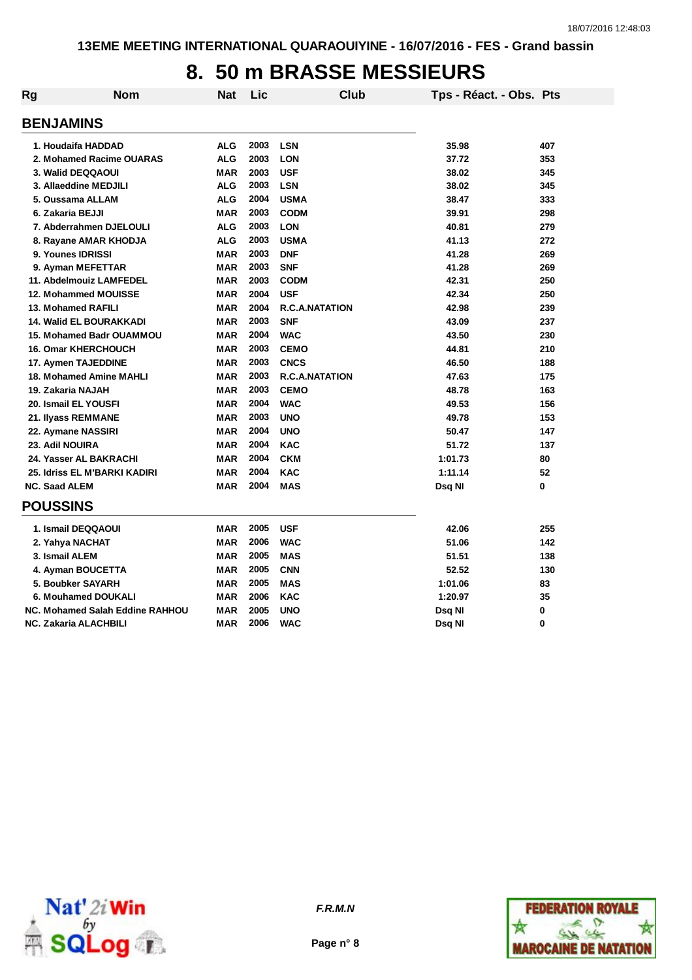## **8. 50 m BRASSE MESSIEURS**

| Rg                           | <b>Nom</b>                      | Nat        | Lic  | <b>Club</b>           | Tps - Réact. - Obs. Pts |          |
|------------------------------|---------------------------------|------------|------|-----------------------|-------------------------|----------|
| <b>BENJAMINS</b>             |                                 |            |      |                       |                         |          |
| 1. Houdaifa HADDAD           |                                 | <b>ALG</b> | 2003 | <b>LSN</b>            | 35.98                   | 407      |
|                              | 2. Mohamed Racime OUARAS        | <b>ALG</b> | 2003 | <b>LON</b>            | 37.72                   | 353      |
| 3. Walid DEQQAOUI            |                                 | <b>MAR</b> | 2003 | <b>USF</b>            | 38.02                   | 345      |
| 3. Allaeddine MEDJILI        |                                 | <b>ALG</b> | 2003 | <b>LSN</b>            | 38.02                   | 345      |
| 5. Oussama ALLAM             |                                 | <b>ALG</b> | 2004 | <b>USMA</b>           | 38.47                   | 333      |
| 6. Zakaria BEJJI             |                                 | <b>MAR</b> | 2003 | <b>CODM</b>           | 39.91                   | 298      |
|                              | 7. Abderrahmen DJELOULI         | <b>ALG</b> | 2003 | <b>LON</b>            | 40.81                   | 279      |
|                              | 8. Rayane AMAR KHODJA           | <b>ALG</b> | 2003 | <b>USMA</b>           | 41.13                   | 272      |
| 9. Younes IDRISSI            |                                 | <b>MAR</b> | 2003 | <b>DNF</b>            | 41.28                   | 269      |
| 9. Ayman MEFETTAR            |                                 | <b>MAR</b> | 2003 | <b>SNF</b>            | 41.28                   | 269      |
|                              | 11. Abdelmouiz LAMFEDEL         | <b>MAR</b> | 2003 | <b>CODM</b>           | 42.31                   | 250      |
|                              | 12. Mohammed MOUISSE            | <b>MAR</b> | 2004 | <b>USF</b>            | 42.34                   | 250      |
| 13. Mohamed RAFILI           |                                 | <b>MAR</b> | 2004 | <b>R.C.A.NATATION</b> | 42.98                   | 239      |
|                              | <b>14. Walid EL BOURAKKADI</b>  | <b>MAR</b> | 2003 | <b>SNF</b>            | 43.09                   | 237      |
|                              | <b>15. Mohamed Badr OUAMMOU</b> | <b>MAR</b> | 2004 | <b>WAC</b>            | 43.50                   | 230      |
| <b>16. Omar KHERCHOUCH</b>   |                                 | <b>MAR</b> | 2003 | <b>CEMO</b>           | 44.81                   | 210      |
| 17. Aymen TAJEDDINE          |                                 | <b>MAR</b> | 2003 | <b>CNCS</b>           | 46.50                   | 188      |
|                              | 18. Mohamed Amine MAHLI         | <b>MAR</b> | 2003 | <b>R.C.A.NATATION</b> | 47.63                   | 175      |
| 19. Zakaria NAJAH            |                                 | <b>MAR</b> | 2003 | <b>CEMO</b>           | 48.78                   | 163      |
| 20. Ismail EL YOUSFI         |                                 | <b>MAR</b> | 2004 | <b>WAC</b>            | 49.53                   | 156      |
| 21. Ilyass REMMANE           |                                 | <b>MAR</b> | 2003 | <b>UNO</b>            | 49.78                   | 153      |
| 22. Aymane NASSIRI           |                                 | <b>MAR</b> | 2004 | <b>UNO</b>            | 50.47                   | 147      |
| 23. Adil NOUIRA              |                                 | <b>MAR</b> | 2004 | <b>KAC</b>            | 51.72                   | 137      |
| 24. Yasser AL BAKRACHI       |                                 | <b>MAR</b> | 2004 | <b>CKM</b>            | 1:01.73                 | 80       |
|                              | 25. Idriss EL M'BARKI KADIRI    | <b>MAR</b> | 2004 | <b>KAC</b>            | 1:11.14                 | 52       |
| <b>NC. Saad ALEM</b>         |                                 | <b>MAR</b> | 2004 | <b>MAS</b>            | Dsq NI                  | 0        |
| <b>POUSSINS</b>              |                                 |            |      |                       |                         |          |
| 1. Ismail DEQQAOUI           |                                 | <b>MAR</b> | 2005 | <b>USF</b>            | 42.06                   | 255      |
| 2. Yahya NACHAT              |                                 | <b>MAR</b> | 2006 | <b>WAC</b>            | 51.06                   | 142      |
| 3. Ismail ALEM               |                                 | <b>MAR</b> | 2005 | <b>MAS</b>            | 51.51                   | 138      |
| 4. Ayman BOUCETTA            |                                 | <b>MAR</b> | 2005 | <b>CNN</b>            | 52.52                   | 130      |
| 5. Boubker SAYARH            |                                 | <b>MAR</b> | 2005 | <b>MAS</b>            | 1:01.06                 | 83       |
|                              | 6. Mouhamed DOUKALI             | <b>MAR</b> | 2006 | <b>KAC</b>            | 1:20.97                 | 35       |
|                              | NC. Mohamed Salah Eddine RAHHOU | <b>MAR</b> | 2005 | <b>UNO</b>            | Dsq NI                  | 0        |
| <b>NC. Zakaria ALACHBILI</b> |                                 | <b>MAR</b> | 2006 | <b>WAC</b>            | Dsq Nl                  | $\bf{0}$ |



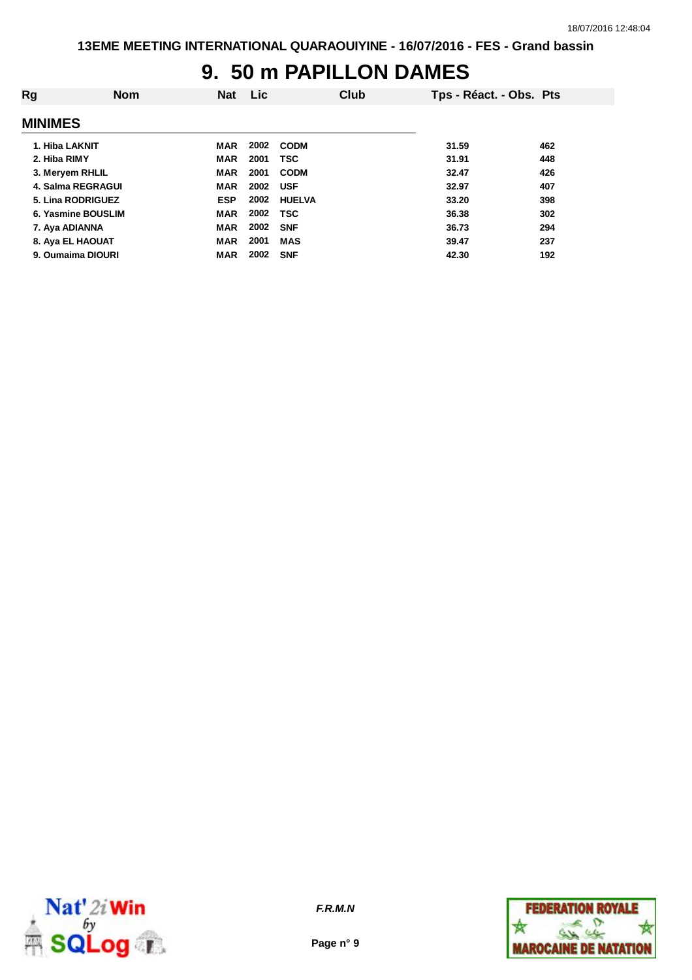### **9. 50 m PAPILLON DAMES**

| Rg                 | <b>Nom</b> | <b>Nat</b> | <b>Lic</b> |               | Club | Tps - Réact. - Obs. Pts |     |
|--------------------|------------|------------|------------|---------------|------|-------------------------|-----|
| <b>MINIMES</b>     |            |            |            |               |      |                         |     |
| 1. Hiba LAKNIT     |            | MAR        | 2002       | <b>CODM</b>   |      | 31.59                   | 462 |
| 2. Hiba RIMY       |            | <b>MAR</b> | 2001       | <b>TSC</b>    |      | 31.91                   | 448 |
| 3. Meryem RHLIL    |            | <b>MAR</b> | 2001       | <b>CODM</b>   |      | 32.47                   | 426 |
| 4. Salma REGRAGUI  |            | <b>MAR</b> | 2002       | <b>USF</b>    |      | 32.97                   | 407 |
| 5. Lina RODRIGUEZ  |            | <b>ESP</b> | 2002       | <b>HUELVA</b> |      | 33.20                   | 398 |
| 6. Yasmine BOUSLIM |            | <b>MAR</b> | 2002       | <b>TSC</b>    |      | 36.38                   | 302 |
| 7. Aya ADIANNA     |            | <b>MAR</b> | 2002       | <b>SNF</b>    |      | 36.73                   | 294 |
| 8. Aya EL HAOUAT   |            | <b>MAR</b> | 2001       | <b>MAS</b>    |      | 39.47                   | 237 |
| 9. Oumaima DIOURI  |            | <b>MAR</b> | 2002       | <b>SNF</b>    |      | 42.30                   | 192 |



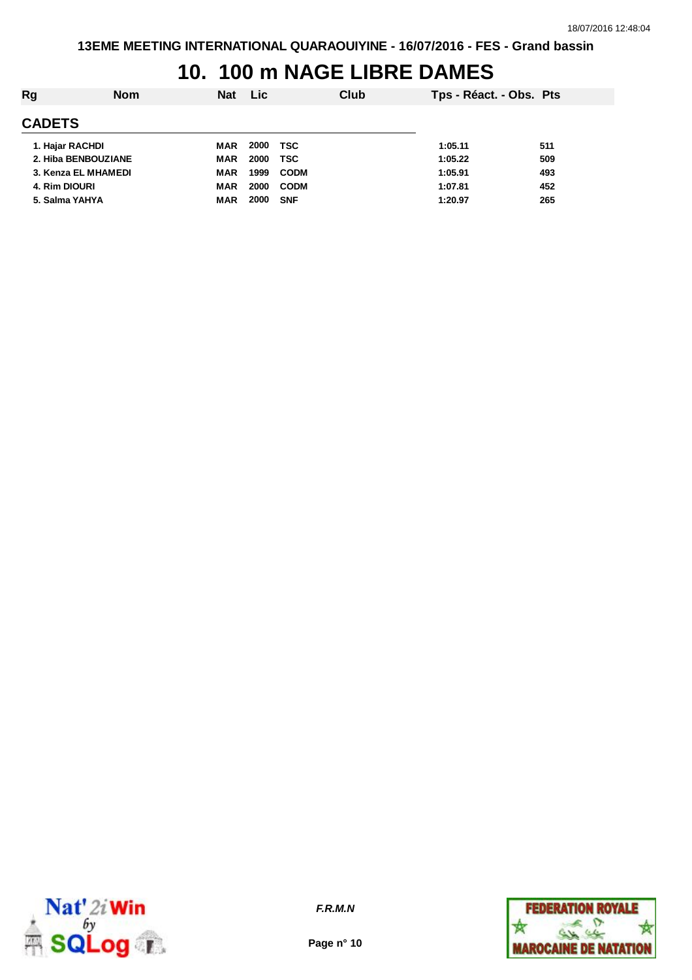## **10. 100 m NAGE LIBRE DAMES**

| Rg              | <b>Nom</b>          | <b>Nat</b> | <b>Lic</b> | Club        | Tps - Réact. - Obs. Pts |     |
|-----------------|---------------------|------------|------------|-------------|-------------------------|-----|
| <b>CADETS</b>   |                     |            |            |             |                         |     |
| 1. Hajar RACHDI |                     | MAR        | 2000       | TSC         | 1:05.11                 | 511 |
|                 | 2. Hiba BENBOUZIANE | <b>MAR</b> | 2000       | TSC         | 1:05.22                 | 509 |
|                 | 3. Kenza EL MHAMEDI | <b>MAR</b> | 1999       | <b>CODM</b> | 1:05.91                 | 493 |
| 4. Rim DIOURI   |                     | MAR        | 2000       | <b>CODM</b> | 1:07.81                 | 452 |
| 5. Salma YAHYA  |                     | MAR        | 2000       | <b>SNF</b>  | 1:20.97                 | 265 |
|                 |                     |            |            |             |                         |     |



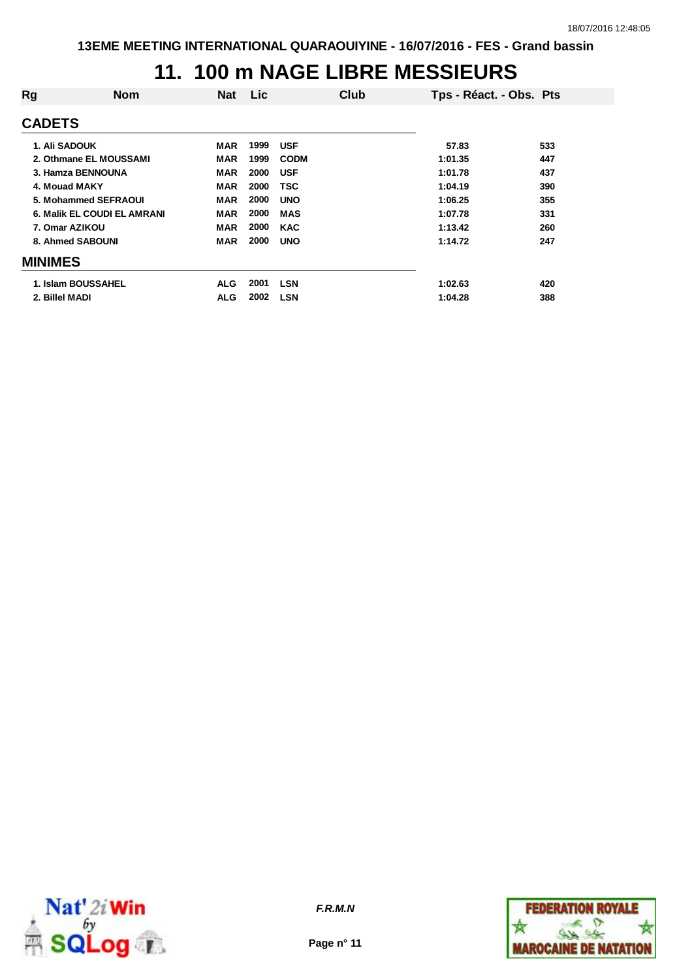### **11. 100 m NAGE LIBRE MESSIEURS**

| Rg             | <b>Nom</b>                         | <b>Nat</b> | Lic  |             | Club | Tps - Réact. - Obs. Pts |     |
|----------------|------------------------------------|------------|------|-------------|------|-------------------------|-----|
| <b>CADETS</b>  |                                    |            |      |             |      |                         |     |
|                | <b>1. Ali SADOUK</b>               | MAR        | 1999 | <b>USF</b>  |      | 57.83                   | 533 |
|                | 2. Othmane EL MOUSSAMI             | MAR        | 1999 | <b>CODM</b> |      | 1:01.35                 | 447 |
|                | 3. Hamza BENNOUNA                  | <b>MAR</b> | 2000 | <b>USF</b>  |      | 1:01.78                 | 437 |
|                | 4. Mouad MAKY                      | <b>MAR</b> | 2000 | <b>TSC</b>  |      | 1:04.19                 | 390 |
|                | 5. Mohammed SEFRAOUI               | <b>MAR</b> | 2000 | <b>UNO</b>  |      | 1:06.25                 | 355 |
|                | <b>6. Malik EL COUDI EL AMRANI</b> | MAR        | 2000 | <b>MAS</b>  |      | 1:07.78                 | 331 |
|                | 7. Omar AZIKOU                     | <b>MAR</b> | 2000 | <b>KAC</b>  |      | 1:13.42                 | 260 |
|                | 8. Ahmed SABOUNI                   | <b>MAR</b> | 2000 | <b>UNO</b>  |      | 1:14.72                 | 247 |
| <b>MINIMES</b> |                                    |            |      |             |      |                         |     |
|                | 1. Islam BOUSSAHEL                 | <b>ALG</b> | 2001 | <b>LSN</b>  |      | 1:02.63                 | 420 |
| 2. Billel MADI |                                    | <b>ALG</b> | 2002 | <b>LSN</b>  |      | 1:04.28                 | 388 |
|                |                                    |            |      |             |      |                         |     |



**Page n° 11**

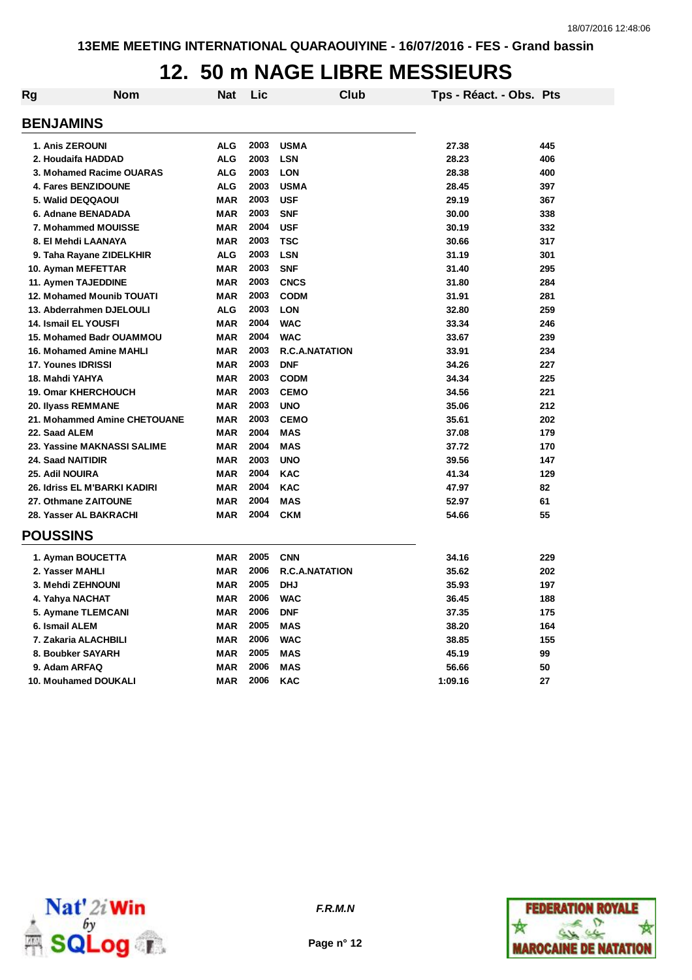## **12. 50 m NAGE LIBRE MESSIEURS**

| <b>Rg</b>                | <b>Nom</b>                      | Nat        | Lic  | Club                  | Tps - Réact. - Obs. Pts |     |
|--------------------------|---------------------------------|------------|------|-----------------------|-------------------------|-----|
| <b>BENJAMINS</b>         |                                 |            |      |                       |                         |     |
| 1. Anis ZEROUNI          |                                 | <b>ALG</b> | 2003 | <b>USMA</b>           | 27.38                   | 445 |
|                          | 2. Houdaifa HADDAD              | <b>ALG</b> | 2003 | <b>LSN</b>            | 28.23                   | 406 |
|                          | 3. Mohamed Racime OUARAS        | <b>ALG</b> | 2003 | <b>LON</b>            | 28.38                   | 400 |
|                          | 4. Fares BENZIDOUNE             | <b>ALG</b> | 2003 | <b>USMA</b>           | 28.45                   | 397 |
|                          | 5. Walid DEQQAOUI               | <b>MAR</b> | 2003 | <b>USF</b>            | 29.19                   | 367 |
|                          | 6. Adnane BENADADA              | MAR        | 2003 | <b>SNF</b>            | 30.00                   | 338 |
|                          | 7. Mohammed MOUISSE             | <b>MAR</b> | 2004 | <b>USF</b>            | 30.19                   | 332 |
|                          | 8. El Mehdi LAANAYA             | <b>MAR</b> | 2003 | <b>TSC</b>            | 30.66                   | 317 |
|                          | 9. Taha Rayane ZIDELKHIR        | <b>ALG</b> | 2003 | <b>LSN</b>            | 31.19                   | 301 |
|                          | 10. Ayman MEFETTAR              | <b>MAR</b> | 2003 | <b>SNF</b>            | 31.40                   | 295 |
|                          | 11. Aymen TAJEDDINE             | MAR        | 2003 | <b>CNCS</b>           | 31.80                   | 284 |
|                          | 12. Mohamed Mounib TOUATI       | MAR        | 2003 | <b>CODM</b>           | 31.91                   | 281 |
|                          | 13. Abderrahmen DJELOULI        | <b>ALG</b> | 2003 | <b>LON</b>            | 32.80                   | 259 |
|                          | 14. Ismail EL YOUSFI            | <b>MAR</b> | 2004 | <b>WAC</b>            | 33.34                   | 246 |
|                          | <b>15. Mohamed Badr OUAMMOU</b> | <b>MAR</b> | 2004 | <b>WAC</b>            | 33.67                   | 239 |
|                          | <b>16. Mohamed Amine MAHLI</b>  | MAR        | 2003 | <b>R.C.A.NATATION</b> | 33.91                   | 234 |
| 17. Younes IDRISSI       |                                 | MAR        | 2003 | <b>DNF</b>            | 34.26                   | 227 |
| 18. Mahdi YAHYA          |                                 | <b>MAR</b> | 2003 | <b>CODM</b>           | 34.34                   | 225 |
|                          | <b>19. Omar KHERCHOUCH</b>      | <b>MAR</b> | 2003 | <b>CEMO</b>           | 34.56                   | 221 |
|                          | 20. Ilyass REMMANE              | <b>MAR</b> | 2003 | <b>UNO</b>            | 35.06                   | 212 |
|                          | 21. Mohammed Amine CHETOUANE    | <b>MAR</b> | 2003 | <b>CEMO</b>           | 35.61                   | 202 |
| 22. Saad ALEM            |                                 | MAR        | 2004 | <b>MAS</b>            | 37.08                   | 179 |
|                          | 23. Yassine MAKNASSI SALIME     | <b>MAR</b> | 2004 | <b>MAS</b>            | 37.72                   | 170 |
| <b>24. Saad NAITIDIR</b> |                                 | <b>MAR</b> | 2003 | <b>UNO</b>            | 39.56                   | 147 |
| 25. Adil NOUIRA          |                                 | <b>MAR</b> | 2004 | <b>KAC</b>            | 41.34                   | 129 |
|                          | 26. Idriss EL M'BARKI KADIRI    | MAR        | 2004 | <b>KAC</b>            | 47.97                   | 82  |
|                          | 27. Othmane ZAITOUNE            | MAR        | 2004 | <b>MAS</b>            | 52.97                   | 61  |
|                          | 28. Yasser AL BAKRACHI          | <b>MAR</b> | 2004 | <b>CKM</b>            | 54.66                   | 55  |
| <b>POUSSINS</b>          |                                 |            |      |                       |                         |     |
|                          | 1. Ayman BOUCETTA               | MAR        | 2005 | <b>CNN</b>            | 34.16                   | 229 |
| 2. Yasser MAHLI          |                                 | <b>MAR</b> | 2006 | <b>R.C.A.NATATION</b> | 35.62                   | 202 |
|                          | 3. Mehdi ZEHNOUNI               | <b>MAR</b> | 2005 | <b>DHJ</b>            | 35.93                   | 197 |
| 4. Yahya NACHAT          |                                 | <b>MAR</b> | 2006 | <b>WAC</b>            | 36.45                   | 188 |
|                          | 5. Aymane TLEMCANI              | <b>MAR</b> | 2006 | <b>DNF</b>            | 37.35                   | 175 |
| 6. Ismail ALEM           |                                 | <b>MAR</b> | 2005 | <b>MAS</b>            | 38.20                   | 164 |
|                          | 7. Zakaria ALACHBILI            | <b>MAR</b> | 2006 | <b>WAC</b>            | 38.85                   | 155 |
|                          | 8. Boubker SAYARH               | MAR        | 2005 | <b>MAS</b>            | 45.19                   | 99  |
| 9. Adam ARFAQ            |                                 | MAR        | 2006 | <b>MAS</b>            | 56.66                   | 50  |
|                          | 10. Mouhamed DOUKALI            | <b>MAR</b> | 2006 | <b>KAC</b>            | 1:09.16                 | 27  |



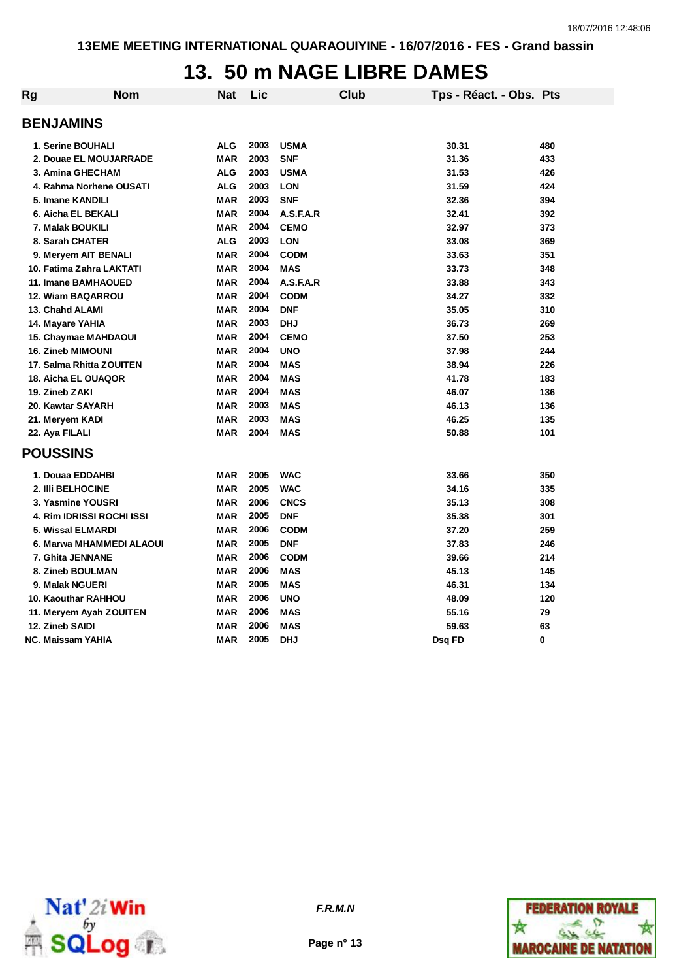# **13. 50 m NAGE LIBRE DAMES**

| <b>Rg</b>               | <b>Nom</b>                       | <b>Nat</b> | Lic  |             | <b>Club</b> | Tps - Réact. - Obs. Pts |     |
|-------------------------|----------------------------------|------------|------|-------------|-------------|-------------------------|-----|
|                         | <b>BENJAMINS</b>                 |            |      |             |             |                         |     |
|                         | 1. Serine BOUHALI                | <b>ALG</b> | 2003 | <b>USMA</b> |             | 30.31                   | 480 |
|                         | 2. Douae EL MOUJARRADE           | <b>MAR</b> | 2003 | <b>SNF</b>  |             | 31.36                   | 433 |
| 3. Amina GHECHAM        |                                  | <b>ALG</b> | 2003 | <b>USMA</b> |             | 31.53                   | 426 |
| 4. Rahma Norhene OUSATI |                                  | <b>ALG</b> | 2003 | <b>LON</b>  |             | 31.59                   | 424 |
| 5. Imane KANDILI        |                                  | <b>MAR</b> | 2003 | <b>SNF</b>  |             | 32.36                   | 394 |
|                         | 6. Aicha EL BEKALI               | <b>MAR</b> | 2004 | A.S.F.A.R   |             | 32.41                   | 392 |
|                         | 7. Malak BOUKILI                 | <b>MAR</b> | 2004 | <b>CEMO</b> |             | 32.97                   | 373 |
|                         | 8. Sarah CHATER                  | <b>ALG</b> | 2003 | <b>LON</b>  |             | 33.08                   | 369 |
|                         | 9. Meryem AIT BENALI             | <b>MAR</b> | 2004 | <b>CODM</b> |             | 33.63                   | 351 |
|                         | 10. Fatima Zahra LAKTATI         | <b>MAR</b> | 2004 | <b>MAS</b>  |             | 33.73                   | 348 |
|                         | 11. Imane BAMHAOUED              | <b>MAR</b> | 2004 | A.S.F.A.R   |             | 33.88                   | 343 |
|                         | 12. Wiam BAQARROU                | <b>MAR</b> | 2004 | <b>CODM</b> |             | 34.27                   | 332 |
|                         | 13. Chahd ALAMI                  | <b>MAR</b> | 2004 | <b>DNF</b>  |             | 35.05                   | 310 |
|                         | 14. Mayare YAHIA                 | <b>MAR</b> | 2003 | <b>DHJ</b>  |             | 36.73                   | 269 |
|                         | <b>15. Chaymae MAHDAOUI</b>      | <b>MAR</b> | 2004 | <b>CEMO</b> |             | 37.50                   | 253 |
|                         | <b>16. Zineb MIMOUNI</b>         | <b>MAR</b> | 2004 | <b>UNO</b>  |             | 37.98                   | 244 |
|                         | 17. Salma Rhitta ZOUITEN         | <b>MAR</b> | 2004 | <b>MAS</b>  |             | 38.94                   | 226 |
|                         | 18. Aicha EL OUAQOR              | <b>MAR</b> | 2004 | <b>MAS</b>  |             | 41.78                   | 183 |
|                         | 19. Zineb ZAKI                   | <b>MAR</b> | 2004 | <b>MAS</b>  |             | 46.07                   | 136 |
|                         | 20. Kawtar SAYARH                | <b>MAR</b> | 2003 | <b>MAS</b>  |             | 46.13                   | 136 |
|                         | 21. Meryem KADI                  | <b>MAR</b> | 2003 | <b>MAS</b>  |             | 46.25                   | 135 |
|                         | 22. Aya FILALI                   | <b>MAR</b> | 2004 | <b>MAS</b>  |             | 50.88                   | 101 |
|                         | <b>POUSSINS</b>                  |            |      |             |             |                         |     |
|                         | 1. Douaa EDDAHBI                 | <b>MAR</b> | 2005 | <b>WAC</b>  |             | 33.66                   | 350 |
|                         | 2. IIIi BELHOCINE                | <b>MAR</b> | 2005 | <b>WAC</b>  |             | 34.16                   | 335 |
|                         | 3. Yasmine YOUSRI                | <b>MAR</b> | 2006 | <b>CNCS</b> |             | 35.13                   | 308 |
|                         | <b>4. Rim IDRISSI ROCHI ISSI</b> | <b>MAR</b> | 2005 | <b>DNF</b>  |             | 35.38                   | 301 |
|                         | 5. Wissal ELMARDI                | <b>MAR</b> | 2006 | <b>CODM</b> |             | 37.20                   | 259 |
|                         | 6. Marwa MHAMMEDI ALAOUI         | <b>MAR</b> | 2005 | <b>DNF</b>  |             | 37.83                   | 246 |
|                         | 7. Ghita JENNANE                 | <b>MAR</b> | 2006 | <b>CODM</b> |             | 39.66                   | 214 |
|                         | 8. Zineb BOULMAN                 | <b>MAR</b> | 2006 | <b>MAS</b>  |             | 45.13                   | 145 |
|                         | 9. Malak NGUERI                  | <b>MAR</b> | 2005 | <b>MAS</b>  |             | 46.31                   | 134 |
|                         | 10. Kaouthar RAHHOU              | <b>MAR</b> | 2006 | <b>UNO</b>  |             | 48.09                   | 120 |
|                         | 11. Meryem Ayah ZOUITEN          | <b>MAR</b> | 2006 | <b>MAS</b>  |             | 55.16                   | 79  |
|                         | 12. Zineb SAIDI                  | <b>MAR</b> | 2006 | <b>MAS</b>  |             | 59.63                   | 63  |
|                         | NC. Maissam YAHIA                | <b>MAR</b> | 2005 | <b>DHJ</b>  |             | Dsg FD                  | 0   |